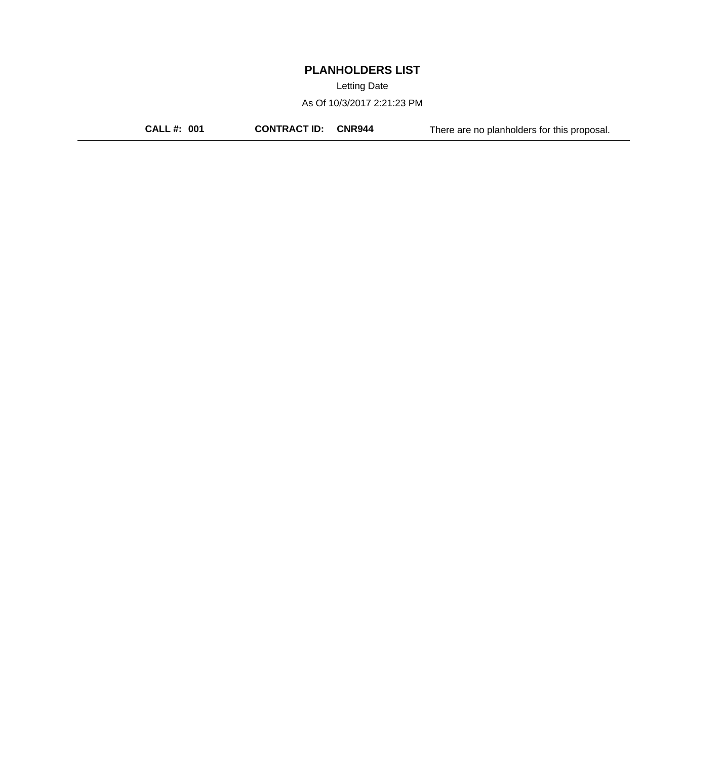Letting Date

As Of 10/3/2017 2:21:23 PM

**CALL #: 001 CONTRACT ID: CNR944** There are no planholders for this proposal.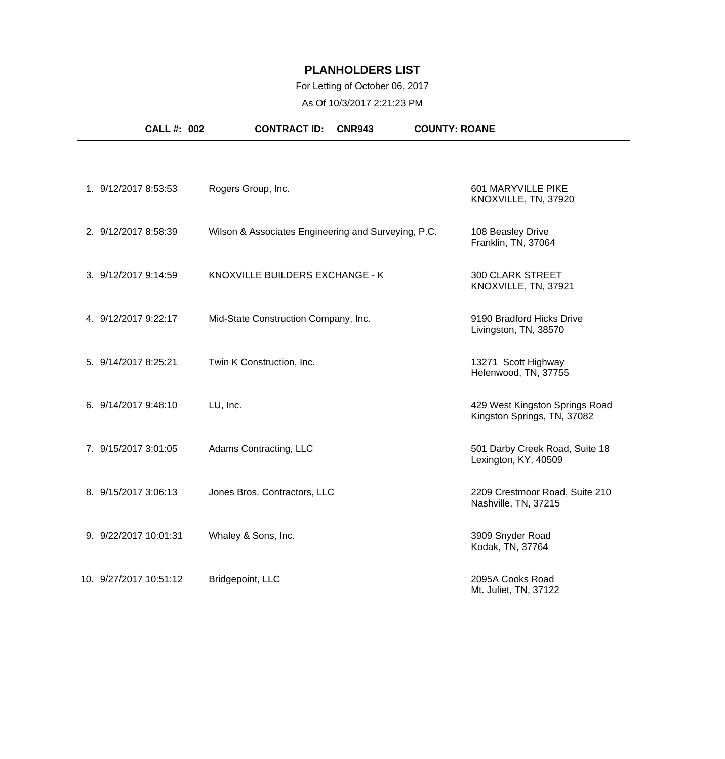### For Letting of October 06, 2017

As Of 10/3/2017 2:21:23 PM

| <b>CALL #: 002</b>     | <b>CONTRACT ID:</b><br><b>CNR943</b>                | <b>COUNTY: ROANE</b>                                          |
|------------------------|-----------------------------------------------------|---------------------------------------------------------------|
|                        |                                                     |                                                               |
| 1. 9/12/2017 8:53:53   | Rogers Group, Inc.                                  | 601 MARYVILLE PIKE<br>KNOXVILLE, TN, 37920                    |
| 2. 9/12/2017 8:58:39   | Wilson & Associates Engineering and Surveying, P.C. | 108 Beasley Drive<br>Franklin, TN, 37064                      |
| 3. 9/12/2017 9:14:59   | KNOXVILLE BUILDERS EXCHANGE - K                     | <b>300 CLARK STREET</b><br>KNOXVILLE, TN, 37921               |
| 4. 9/12/2017 9:22:17   | Mid-State Construction Company, Inc.                | 9190 Bradford Hicks Drive<br>Livingston, TN, 38570            |
| 5. 9/14/2017 8:25:21   | Twin K Construction, Inc.                           | 13271 Scott Highway<br>Helenwood, TN, 37755                   |
| 6. 9/14/2017 9:48:10   | LU, Inc.                                            | 429 West Kingston Springs Road<br>Kingston Springs, TN, 37082 |
| 7. 9/15/2017 3:01:05   | Adams Contracting, LLC                              | 501 Darby Creek Road, Suite 18<br>Lexington, KY, 40509        |
| 8. 9/15/2017 3:06:13   | Jones Bros. Contractors, LLC                        | 2209 Crestmoor Road, Suite 210<br>Nashville, TN, 37215        |
| 9. 9/22/2017 10:01:31  | Whaley & Sons, Inc.                                 | 3909 Snyder Road<br>Kodak, TN, 37764                          |
| 10. 9/27/2017 10:51:12 | Bridgepoint, LLC                                    | 2095A Cooks Road<br>Mt. Juliet, TN, 37122                     |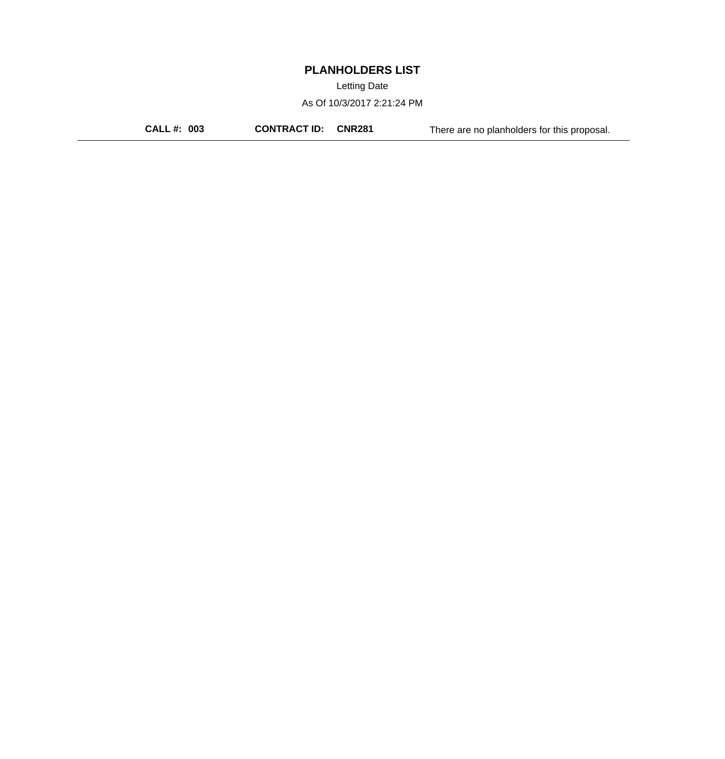Letting Date

As Of 10/3/2017 2:21:24 PM

**CALL #: 003 CONTRACT ID: CNR281** There are no planholders for this proposal.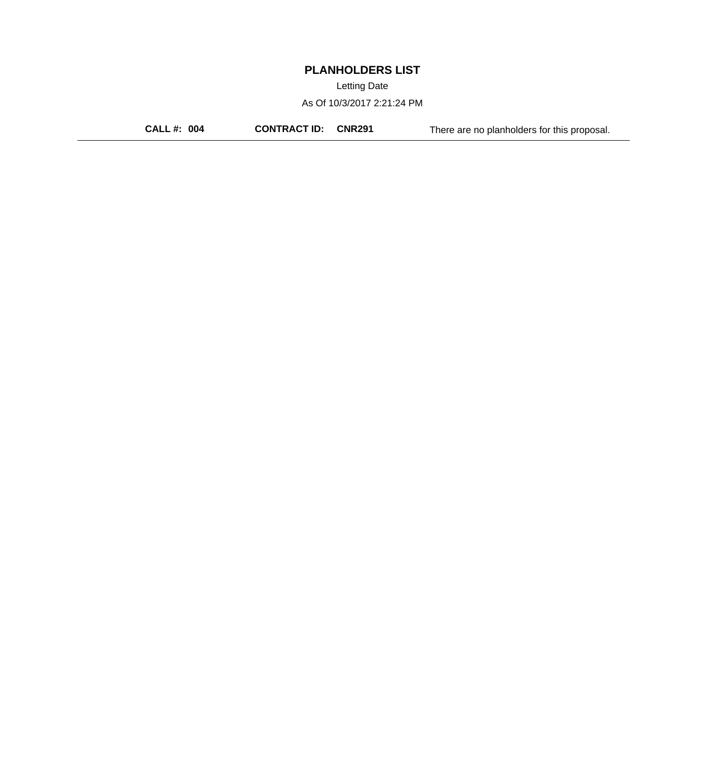Letting Date

As Of 10/3/2017 2:21:24 PM

**CALL #: 004 CONTRACT ID: CNR291** There are no planholders for this proposal.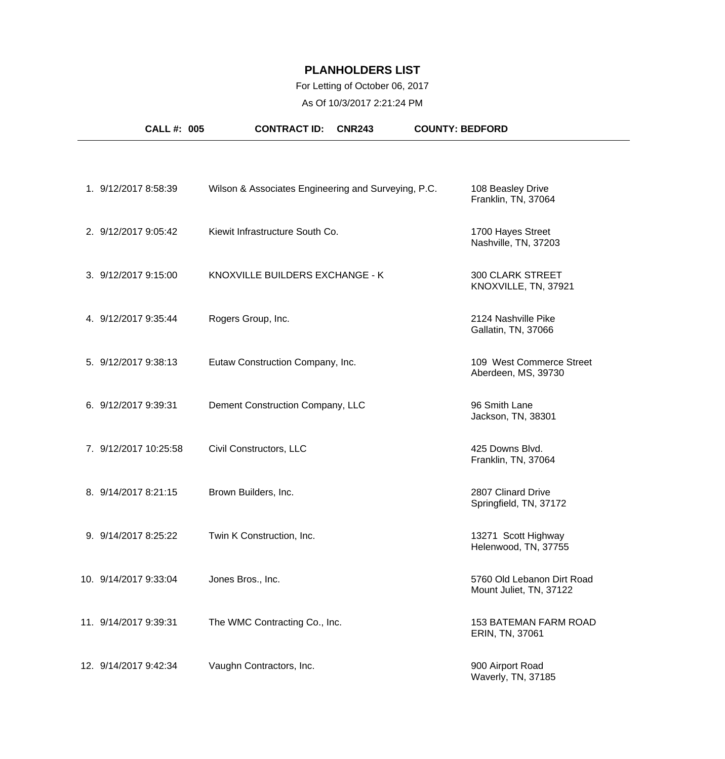### For Letting of October 06, 2017

As Of 10/3/2017 2:21:24 PM

| <b>CALL #: 005</b>    | <b>CONTRACT ID:</b>                                 | <b>CNR243</b> | <b>COUNTY: BEDFORD</b> |                                                       |
|-----------------------|-----------------------------------------------------|---------------|------------------------|-------------------------------------------------------|
|                       |                                                     |               |                        |                                                       |
| 1. 9/12/2017 8:58:39  | Wilson & Associates Engineering and Surveying, P.C. |               |                        | 108 Beasley Drive<br>Franklin, TN, 37064              |
| 2. 9/12/2017 9:05:42  | Kiewit Infrastructure South Co.                     |               |                        | 1700 Hayes Street<br>Nashville, TN, 37203             |
| 3. 9/12/2017 9:15:00  | KNOXVILLE BUILDERS EXCHANGE - K                     |               |                        | <b>300 CLARK STREET</b><br>KNOXVILLE, TN, 37921       |
| 4. 9/12/2017 9:35:44  | Rogers Group, Inc.                                  |               |                        | 2124 Nashville Pike<br>Gallatin, TN, 37066            |
| 5. 9/12/2017 9:38:13  | Eutaw Construction Company, Inc.                    |               |                        | 109 West Commerce Street<br>Aberdeen, MS, 39730       |
| 6. 9/12/2017 9:39:31  | Dement Construction Company, LLC                    |               |                        | 96 Smith Lane<br>Jackson, TN, 38301                   |
| 7. 9/12/2017 10:25:58 | Civil Constructors, LLC                             |               |                        | 425 Downs Blvd.<br>Franklin, TN, 37064                |
| 8. 9/14/2017 8:21:15  | Brown Builders, Inc.                                |               |                        | 2807 Clinard Drive<br>Springfield, TN, 37172          |
| 9. 9/14/2017 8:25:22  | Twin K Construction, Inc.                           |               |                        | 13271 Scott Highway<br>Helenwood, TN, 37755           |
| 10. 9/14/2017 9:33:04 | Jones Bros., Inc.                                   |               |                        | 5760 Old Lebanon Dirt Road<br>Mount Juliet, TN, 37122 |
| 11. 9/14/2017 9:39:31 | The WMC Contracting Co., Inc.                       |               |                        | <b>153 BATEMAN FARM ROAD</b><br>ERIN, TN, 37061       |
| 12. 9/14/2017 9:42:34 | Vaughn Contractors, Inc.                            |               |                        | 900 Airport Road<br>Waverly, TN, 37185                |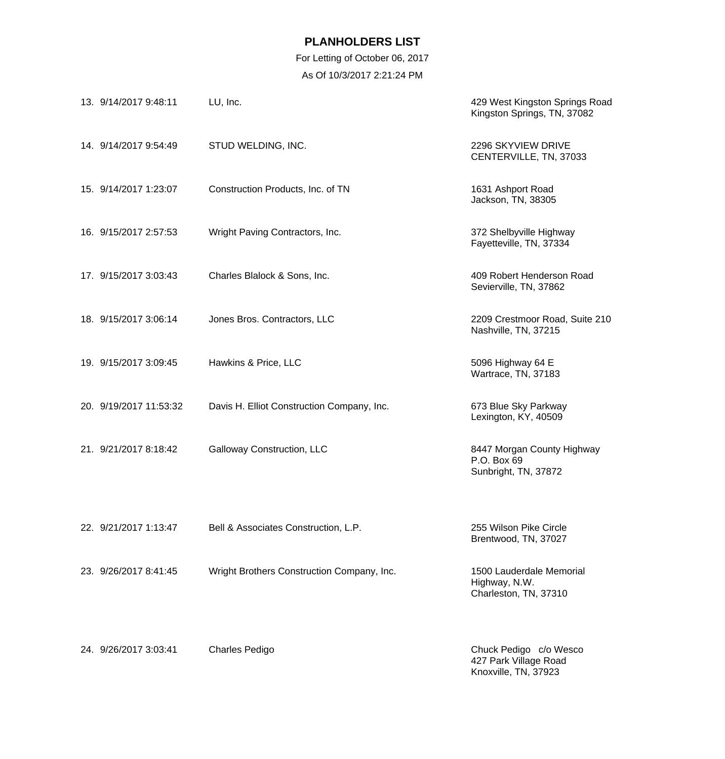For Letting of October 06, 2017 As Of 10/3/2017 2:21:24 PM

| 13. 9/14/2017 9:48:11  | LU, Inc.                                   | 429 West Kingston Springs Road<br>Kingston Springs, TN, 37082      |
|------------------------|--------------------------------------------|--------------------------------------------------------------------|
| 14. 9/14/2017 9:54:49  | STUD WELDING, INC.                         | 2296 SKYVIEW DRIVE<br>CENTERVILLE, TN, 37033                       |
| 15. 9/14/2017 1:23:07  | Construction Products, Inc. of TN          | 1631 Ashport Road<br>Jackson, TN, 38305                            |
| 16. 9/15/2017 2:57:53  | Wright Paving Contractors, Inc.            | 372 Shelbyville Highway<br>Fayetteville, TN, 37334                 |
| 17. 9/15/2017 3:03:43  | Charles Blalock & Sons, Inc.               | 409 Robert Henderson Road<br>Sevierville, TN, 37862                |
| 18. 9/15/2017 3:06:14  | Jones Bros. Contractors, LLC               | 2209 Crestmoor Road, Suite 210<br>Nashville, TN, 37215             |
| 19. 9/15/2017 3:09:45  | Hawkins & Price, LLC                       | 5096 Highway 64 E<br>Wartrace, TN, 37183                           |
| 20. 9/19/2017 11:53:32 | Davis H. Elliot Construction Company, Inc. | 673 Blue Sky Parkway<br>Lexington, KY, 40509                       |
| 21. 9/21/2017 8:18:42  | Galloway Construction, LLC                 | 8447 Morgan County Highway<br>P.O. Box 69<br>Sunbright, TN, 37872  |
| 22. 9/21/2017 1:13:47  | Bell & Associates Construction, L.P.       | 255 Wilson Pike Circle<br>Brentwood, TN, 37027                     |
| 23. 9/26/2017 8:41:45  | Wright Brothers Construction Company, Inc. | 1500 Lauderdale Memorial<br>Highway, N.W.<br>Charleston, TN, 37310 |
| 24. 9/26/2017 3:03:41  | <b>Charles Pedigo</b>                      | Chuck Pedigo c/o Wesco<br>427 Park Village Road                    |

Knoxville, TN, 37923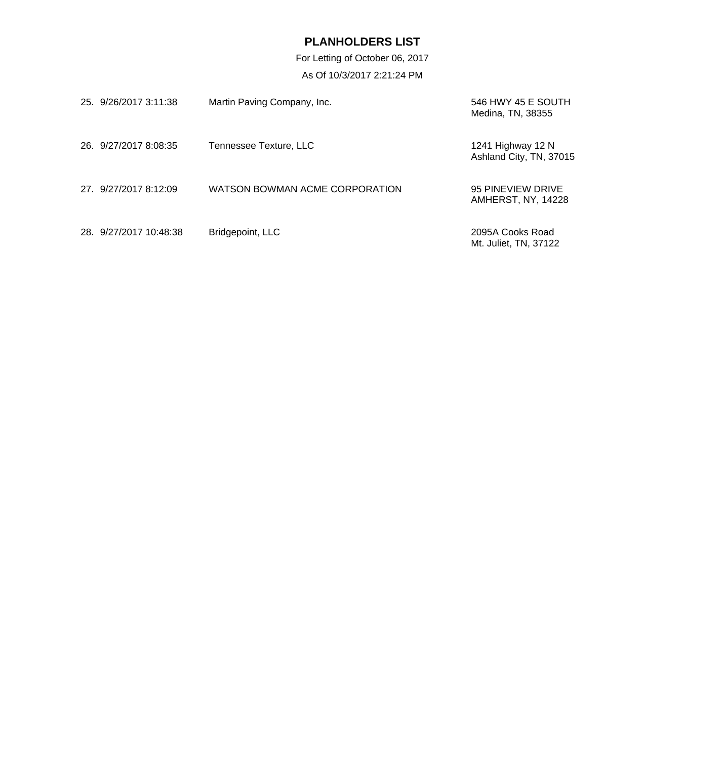For Letting of October 06, 2017 As Of 10/3/2017 2:21:24 PM

| 25. 9/26/2017 3:11:38  | Martin Paving Company, Inc.    | 546 HWY 45 E SOUTH<br>Medina, TN, 38355      |
|------------------------|--------------------------------|----------------------------------------------|
| 26. 9/27/2017 8:08:35  | Tennessee Texture, LLC         | 1241 Highway 12 N<br>Ashland City, TN, 37015 |
| 27 9/27/2017 8:12:09   | WATSON BOWMAN ACME CORPORATION | 95 PINEVIEW DRIVE<br>AMHERST, NY, 14228      |
| 28. 9/27/2017 10:48:38 | Bridgepoint, LLC               | 2095A Cooks Road<br>Mt. Juliet, TN, 37122    |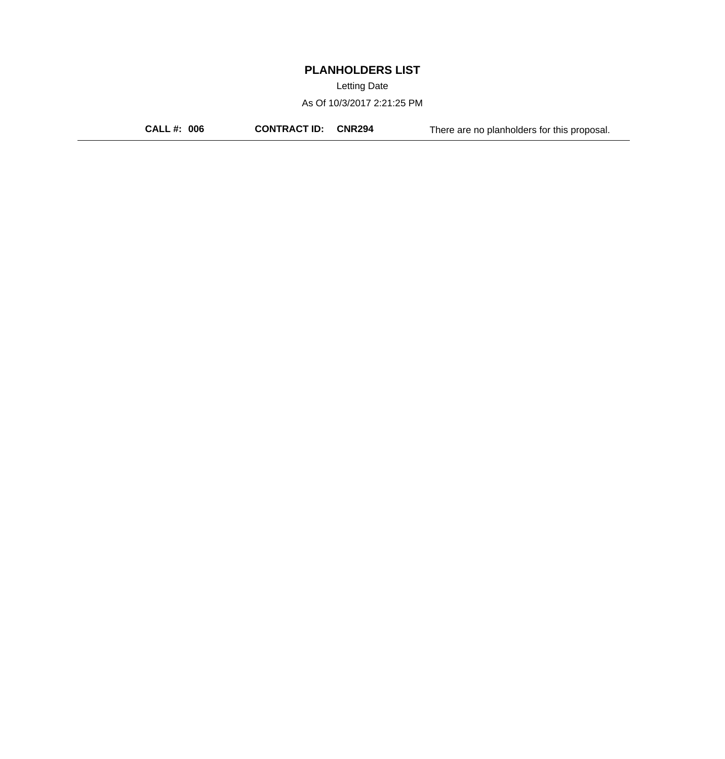Letting Date

As Of 10/3/2017 2:21:25 PM

**CALL #: 006 CONTRACT ID: CNR294** There are no planholders for this proposal.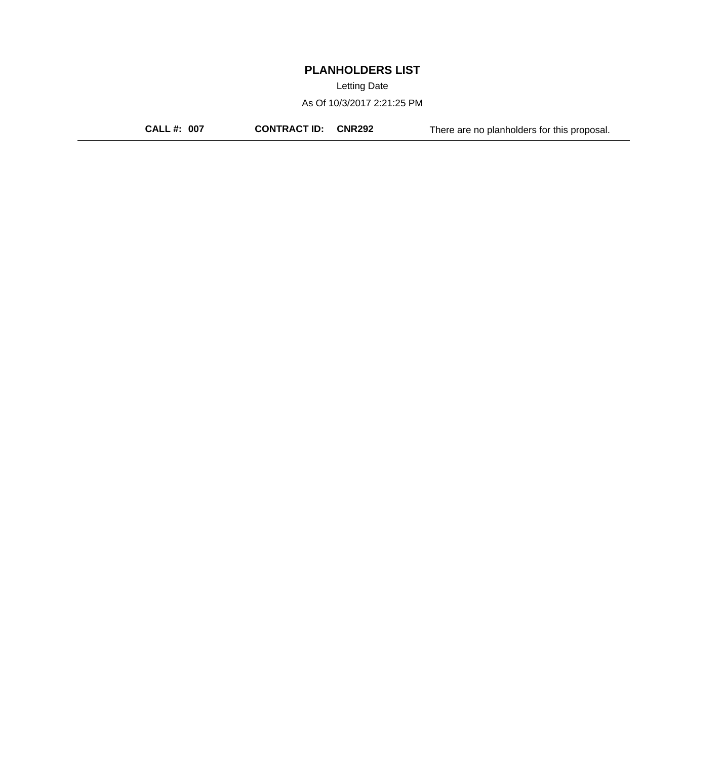Letting Date

As Of 10/3/2017 2:21:25 PM

**CALL #: 007 CONTRACT ID: CNR292** There are no planholders for this proposal.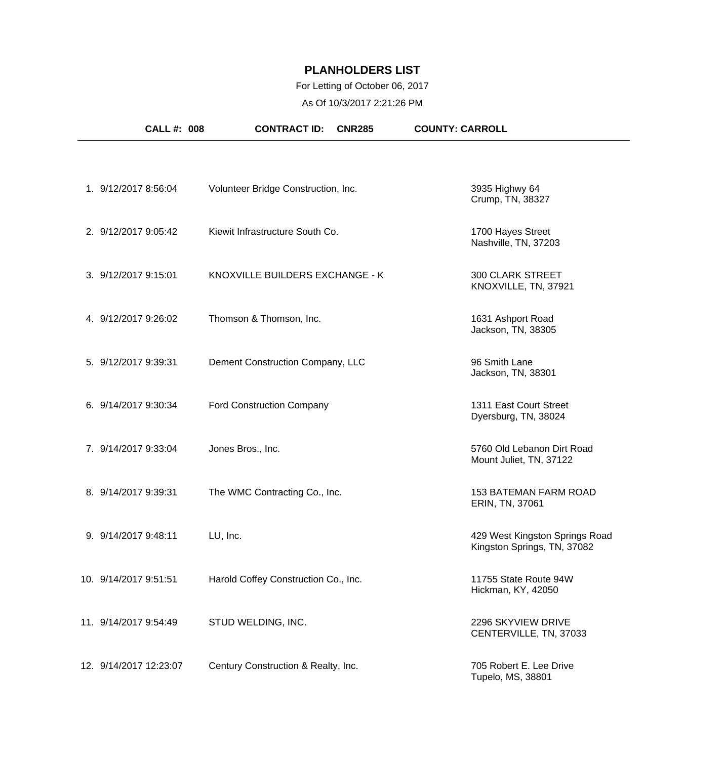### For Letting of October 06, 2017

As Of 10/3/2017 2:21:26 PM

| <b>CALL #: 008</b>     | <b>CONTRACT ID:</b><br><b>CNR285</b> | <b>COUNTY: CARROLL</b>                                        |
|------------------------|--------------------------------------|---------------------------------------------------------------|
|                        |                                      |                                                               |
| 1. 9/12/2017 8:56:04   | Volunteer Bridge Construction, Inc.  | 3935 Highwy 64<br>Crump, TN, 38327                            |
| 2. 9/12/2017 9:05:42   | Kiewit Infrastructure South Co.      | 1700 Hayes Street<br>Nashville, TN, 37203                     |
| 3. 9/12/2017 9:15:01   | KNOXVILLE BUILDERS EXCHANGE - K      | <b>300 CLARK STREET</b><br>KNOXVILLE, TN, 37921               |
| 4. 9/12/2017 9:26:02   | Thomson & Thomson, Inc.              | 1631 Ashport Road<br>Jackson, TN, 38305                       |
| 5. 9/12/2017 9:39:31   | Dement Construction Company, LLC     | 96 Smith Lane<br>Jackson, TN, 38301                           |
| 6. 9/14/2017 9:30:34   | <b>Ford Construction Company</b>     | 1311 East Court Street<br>Dyersburg, TN, 38024                |
| 7. 9/14/2017 9:33:04   | Jones Bros., Inc.                    | 5760 Old Lebanon Dirt Road<br>Mount Juliet, TN, 37122         |
| 8. 9/14/2017 9:39:31   | The WMC Contracting Co., Inc.        | 153 BATEMAN FARM ROAD<br>ERIN, TN, 37061                      |
| 9. 9/14/2017 9:48:11   | LU, Inc.                             | 429 West Kingston Springs Road<br>Kingston Springs, TN, 37082 |
| 10. 9/14/2017 9:51:51  | Harold Coffey Construction Co., Inc. | 11755 State Route 94W<br>Hickman, KY, 42050                   |
| 11. 9/14/2017 9:54:49  | STUD WELDING, INC.                   | 2296 SKYVIEW DRIVE<br>CENTERVILLE, TN, 37033                  |
| 12. 9/14/2017 12:23:07 | Century Construction & Realty, Inc.  | 705 Robert E. Lee Drive<br>Tupelo, MS, 38801                  |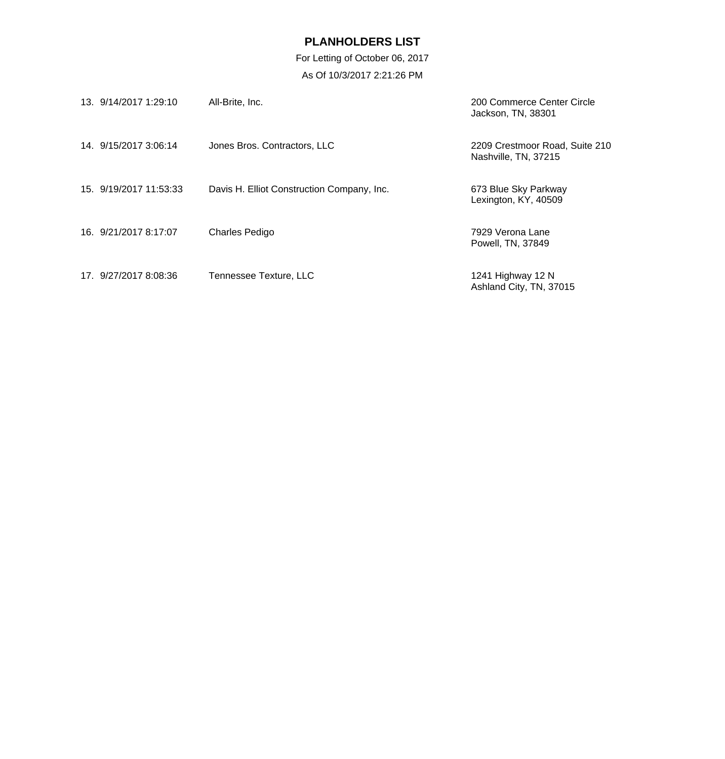For Letting of October 06, 2017 As Of 10/3/2017 2:21:26 PM

| 13. 9/14/2017 1:29:10  | All-Brite, Inc.                            | 200 Commerce Center Circle<br>Jackson, TN, 38301       |
|------------------------|--------------------------------------------|--------------------------------------------------------|
| 14. 9/15/2017 3:06:14  | Jones Bros. Contractors, LLC               | 2209 Crestmoor Road, Suite 210<br>Nashville, TN, 37215 |
| 15. 9/19/2017 11:53:33 | Davis H. Elliot Construction Company, Inc. | 673 Blue Sky Parkway<br>Lexington, KY, 40509           |
| 16. 9/21/2017 8:17:07  | <b>Charles Pedigo</b>                      | 7929 Verona Lane<br>Powell, TN, 37849                  |
| 17. 9/27/2017 8:08:36  | Tennessee Texture, LLC                     | 1241 Highway 12 N<br>Ashland City, TN, 37015           |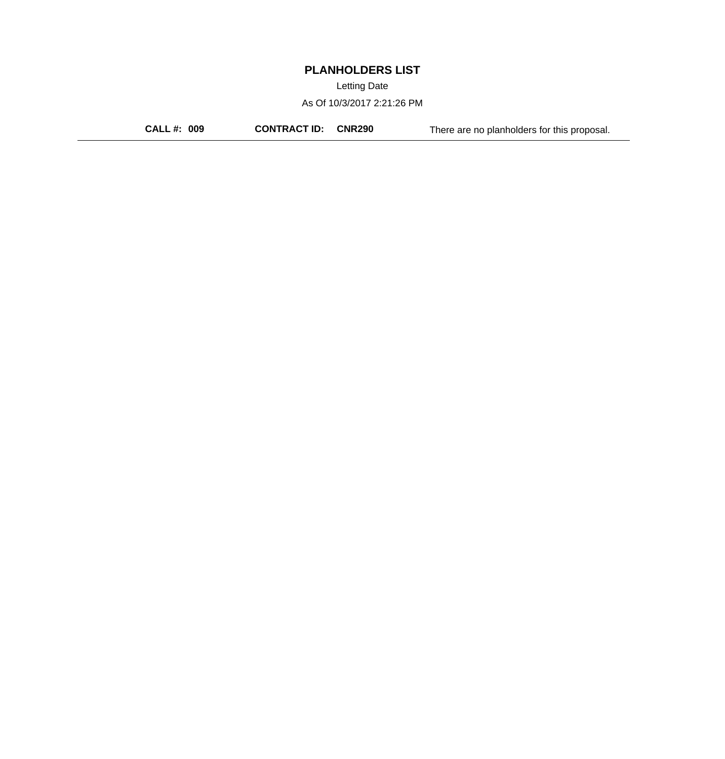Letting Date

As Of 10/3/2017 2:21:26 PM

**CALL #: 009 CONTRACT ID: CNR290** There are no planholders for this proposal.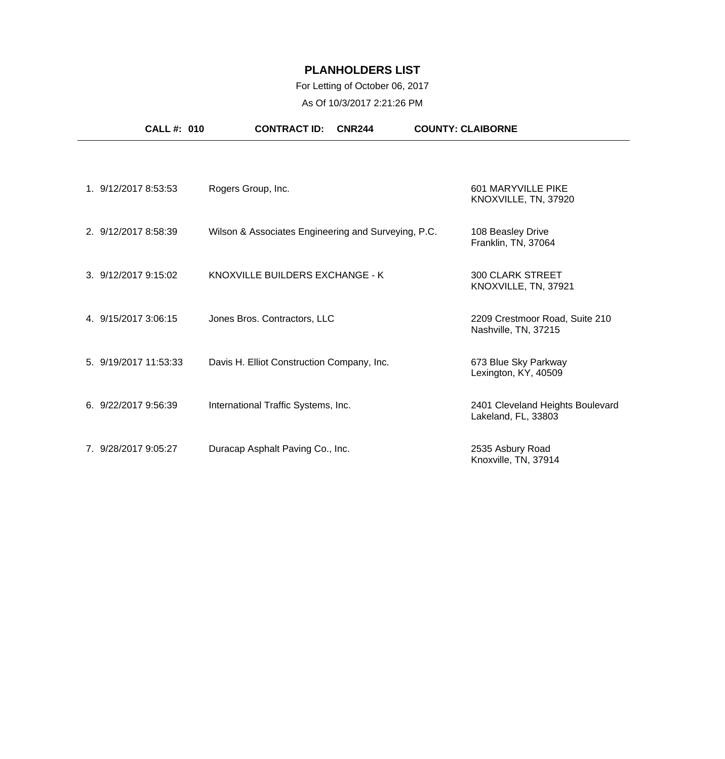### For Letting of October 06, 2017

As Of 10/3/2017 2:21:26 PM

| <b>CALL#: 010</b>     | <b>CONTRACT ID:</b>                                 | <b>CNR244</b> | <b>COUNTY: CLAIBORNE</b> |                                                         |
|-----------------------|-----------------------------------------------------|---------------|--------------------------|---------------------------------------------------------|
| 1. 9/12/2017 8:53:53  | Rogers Group, Inc.                                  |               |                          | 601 MARYVILLE PIKE<br>KNOXVILLE, TN, 37920              |
| 2. 9/12/2017 8:58:39  | Wilson & Associates Engineering and Surveying, P.C. |               |                          | 108 Beasley Drive<br>Franklin, TN, 37064                |
| 3.9/12/20179:15:02    | KNOXVILLE BUILDERS EXCHANGE - K                     |               |                          | <b>300 CLARK STREET</b><br>KNOXVILLE, TN, 37921         |
| 4. 9/15/2017 3:06:15  | Jones Bros. Contractors, LLC                        |               |                          | 2209 Crestmoor Road, Suite 210<br>Nashville, TN, 37215  |
| 5. 9/19/2017 11:53:33 | Davis H. Elliot Construction Company, Inc.          |               |                          | 673 Blue Sky Parkway<br>Lexington, KY, 40509            |
| 6. 9/22/2017 9:56:39  | International Traffic Systems, Inc.                 |               |                          | 2401 Cleveland Heights Boulevard<br>Lakeland, FL, 33803 |
| 7. 9/28/2017 9:05:27  | Duracap Asphalt Paving Co., Inc.                    |               |                          | 2535 Asbury Road<br>Knoxville, TN, 37914                |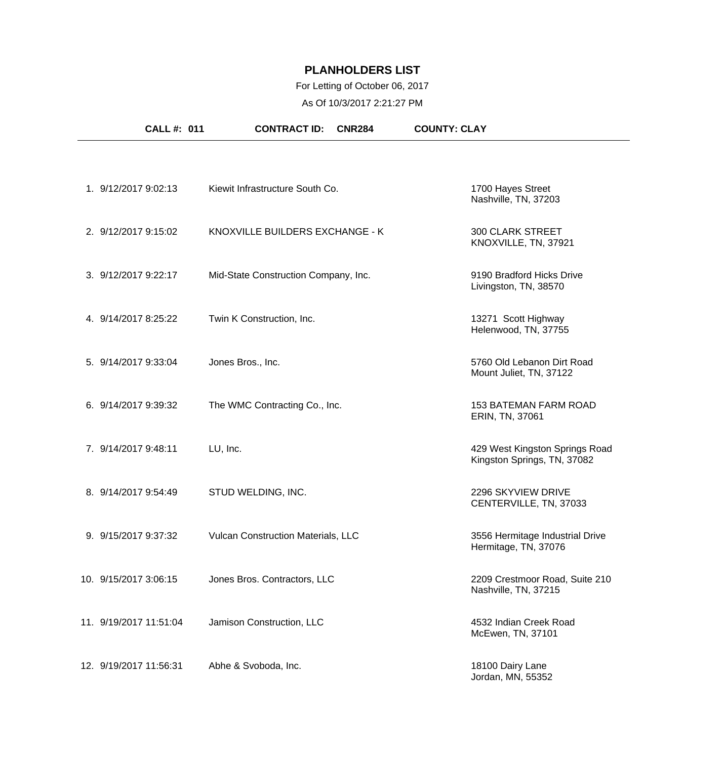### For Letting of October 06, 2017

As Of 10/3/2017 2:21:27 PM

| <b>CALL #: 011</b>     | <b>CONTRACT ID:</b><br><b>CNR284</b> | <b>COUNTY: CLAY</b>                                           |
|------------------------|--------------------------------------|---------------------------------------------------------------|
|                        |                                      |                                                               |
| 1. 9/12/2017 9:02:13   | Kiewit Infrastructure South Co.      | 1700 Hayes Street<br>Nashville, TN, 37203                     |
| 2. 9/12/2017 9:15:02   | KNOXVILLE BUILDERS EXCHANGE - K      | <b>300 CLARK STREET</b><br>KNOXVILLE, TN, 37921               |
| 3. 9/12/2017 9:22:17   | Mid-State Construction Company, Inc. | 9190 Bradford Hicks Drive<br>Livingston, TN, 38570            |
| 4. 9/14/2017 8:25:22   | Twin K Construction, Inc.            | 13271 Scott Highway<br>Helenwood, TN, 37755                   |
| 5. 9/14/2017 9:33:04   | Jones Bros., Inc.                    | 5760 Old Lebanon Dirt Road<br>Mount Juliet, TN, 37122         |
| 6. 9/14/2017 9:39:32   | The WMC Contracting Co., Inc.        | <b>153 BATEMAN FARM ROAD</b><br>ERIN, TN, 37061               |
| 7. 9/14/2017 9:48:11   | LU, Inc.                             | 429 West Kingston Springs Road<br>Kingston Springs, TN, 37082 |
| 8. 9/14/2017 9:54:49   | STUD WELDING, INC.                   | 2296 SKYVIEW DRIVE<br>CENTERVILLE, TN, 37033                  |
| 9. 9/15/2017 9:37:32   | Vulcan Construction Materials, LLC   | 3556 Hermitage Industrial Drive<br>Hermitage, TN, 37076       |
| 10. 9/15/2017 3:06:15  | Jones Bros. Contractors, LLC         | 2209 Crestmoor Road, Suite 210<br>Nashville, TN, 37215        |
| 11. 9/19/2017 11:51:04 | Jamison Construction, LLC            | 4532 Indian Creek Road<br>McEwen, TN, 37101                   |
| 12. 9/19/2017 11:56:31 | Abhe & Svoboda, Inc.                 | 18100 Dairy Lane<br>Jordan, MN, 55352                         |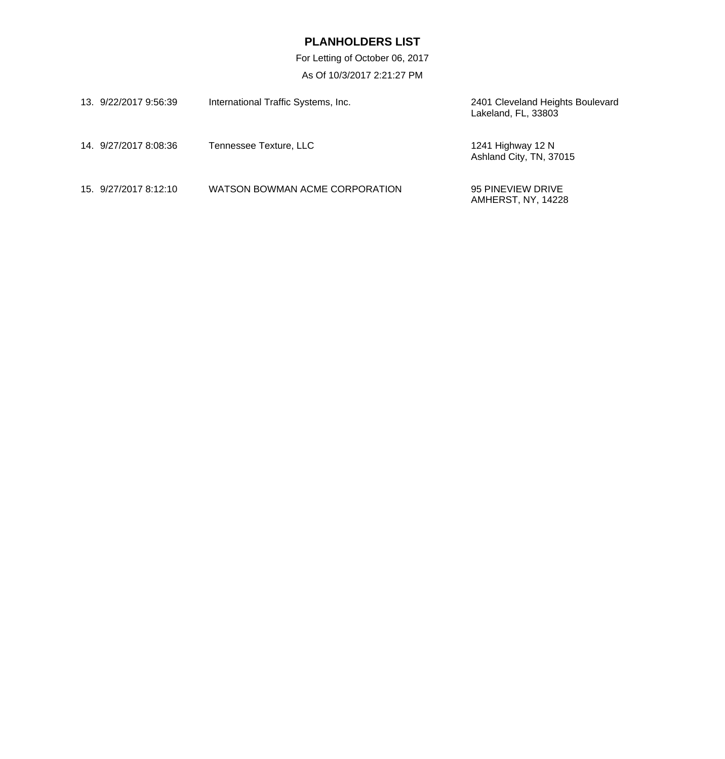For Letting of October 06, 2017 As Of 10/3/2017 2:21:27 PM

| 13. 9/22/2017 9:56:39 | International Traffic Systems, Inc. | 2401 Cleveland Heights Boulevard<br>Lakeland, FL, 33803 |
|-----------------------|-------------------------------------|---------------------------------------------------------|
| 14 9/27/2017 8:08:36  | Tennessee Texture, LLC              | 1241 Highway 12 N<br>Ashland City, TN, 37015            |
| 15. 9/27/2017 8:12:10 | WATSON BOWMAN ACME CORPORATION      | 95 PINEVIEW DRIVE<br>AMHERST, NY, 14228                 |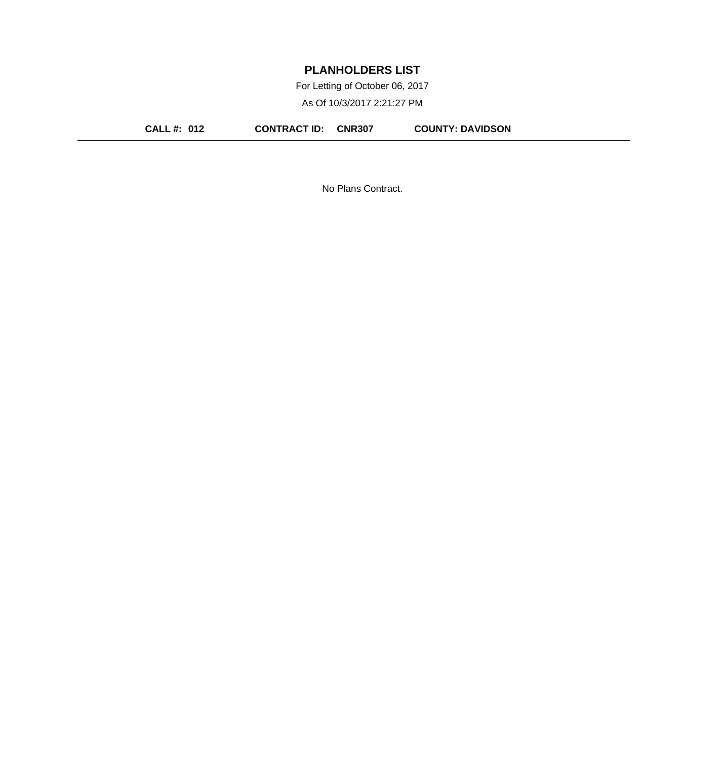For Letting of October 06, 2017

As Of 10/3/2017 2:21:27 PM

**CALL #: 012 CONTRACT ID: CNR307 COUNTY: DAVIDSON**

No Plans Contract.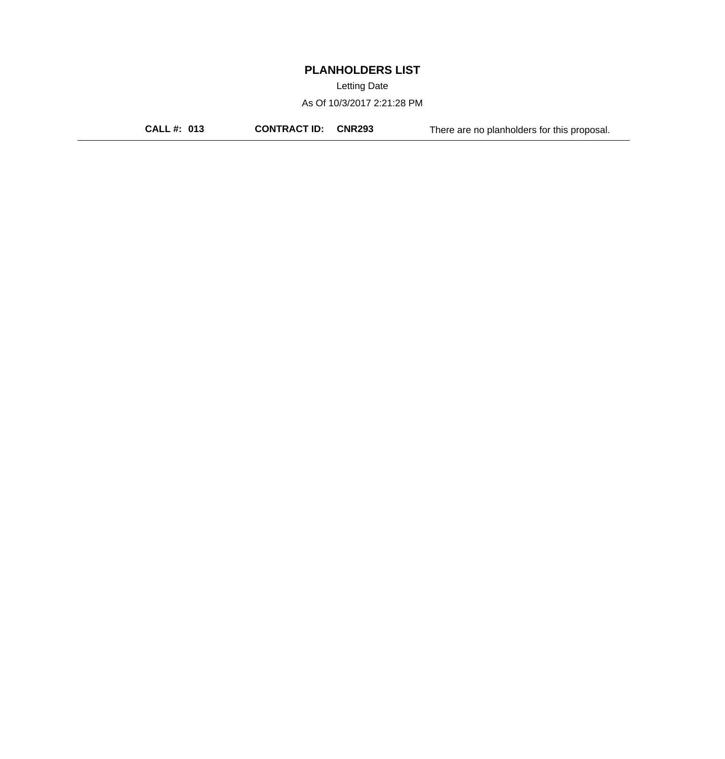Letting Date

As Of 10/3/2017 2:21:28 PM

**CALL #: 013 CONTRACT ID: CNR293** There are no planholders for this proposal.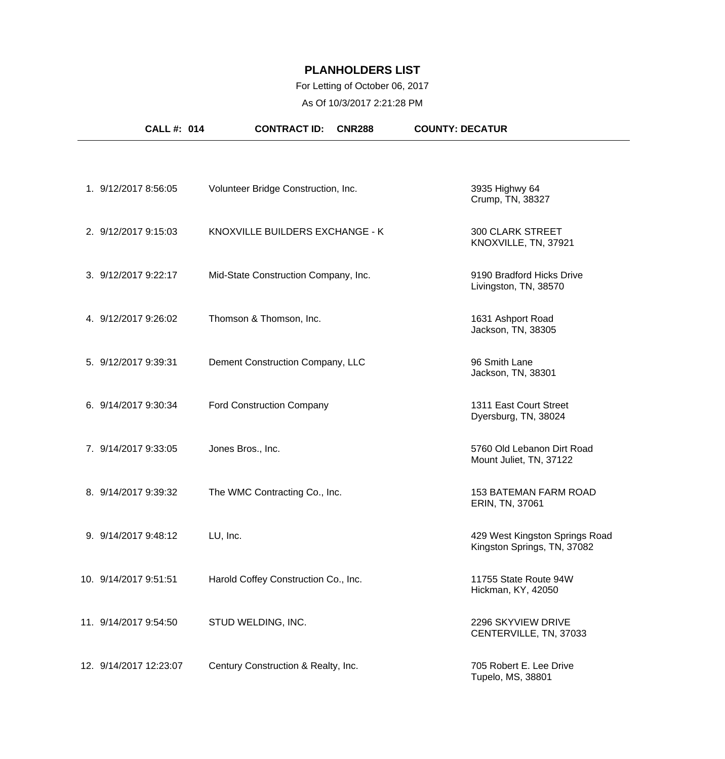### For Letting of October 06, 2017

As Of 10/3/2017 2:21:28 PM

| <b>CALL#: 014</b>      | <b>CONTRACT ID:</b><br><b>CNR288</b> | <b>COUNTY: DECATUR</b>                                        |
|------------------------|--------------------------------------|---------------------------------------------------------------|
|                        |                                      |                                                               |
| 1. 9/12/2017 8:56:05   | Volunteer Bridge Construction, Inc.  | 3935 Highwy 64<br>Crump, TN, 38327                            |
| 2. 9/12/2017 9:15:03   | KNOXVILLE BUILDERS EXCHANGE - K      | <b>300 CLARK STREET</b><br>KNOXVILLE, TN, 37921               |
| 3. 9/12/2017 9:22:17   | Mid-State Construction Company, Inc. | 9190 Bradford Hicks Drive<br>Livingston, TN, 38570            |
| 4. 9/12/2017 9:26:02   | Thomson & Thomson, Inc.              | 1631 Ashport Road<br>Jackson, TN, 38305                       |
| 5. 9/12/2017 9:39:31   | Dement Construction Company, LLC     | 96 Smith Lane<br>Jackson, TN, 38301                           |
| 6. 9/14/2017 9:30:34   | <b>Ford Construction Company</b>     | 1311 East Court Street<br>Dyersburg, TN, 38024                |
| 7. 9/14/2017 9:33:05   | Jones Bros., Inc.                    | 5760 Old Lebanon Dirt Road<br>Mount Juliet, TN, 37122         |
| 8. 9/14/2017 9:39:32   | The WMC Contracting Co., Inc.        | 153 BATEMAN FARM ROAD<br>ERIN, TN, 37061                      |
| 9. 9/14/2017 9:48:12   | LU, Inc.                             | 429 West Kingston Springs Road<br>Kingston Springs, TN, 37082 |
| 10. 9/14/2017 9:51:51  | Harold Coffey Construction Co., Inc. | 11755 State Route 94W<br>Hickman, KY, 42050                   |
| 11. 9/14/2017 9:54:50  | STUD WELDING, INC.                   | 2296 SKYVIEW DRIVE<br>CENTERVILLE, TN, 37033                  |
| 12. 9/14/2017 12:23:07 | Century Construction & Realty, Inc.  | 705 Robert E. Lee Drive<br>Tupelo, MS, 38801                  |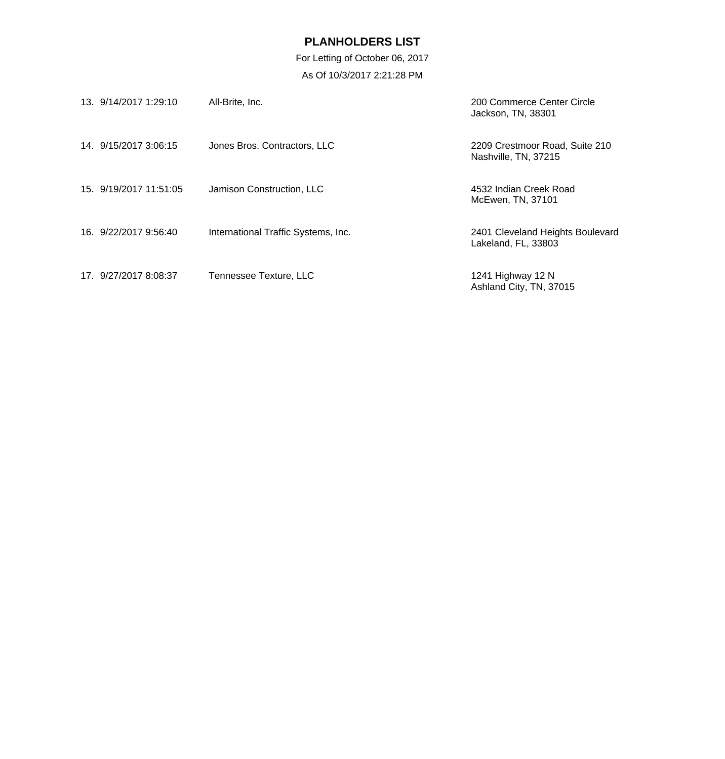For Letting of October 06, 2017 As Of 10/3/2017 2:21:28 PM

| 13. 9/14/2017 1:29:10  | All-Brite, Inc.                     | 200 Commerce Center Circle<br>Jackson, TN, 38301        |
|------------------------|-------------------------------------|---------------------------------------------------------|
| 14. 9/15/2017 3:06:15  | Jones Bros. Contractors, LLC        | 2209 Crestmoor Road, Suite 210<br>Nashville, TN, 37215  |
| 15. 9/19/2017 11:51:05 | Jamison Construction, LLC           | 4532 Indian Creek Road<br>McEwen, TN, 37101             |
| 16. 9/22/2017 9:56:40  | International Traffic Systems, Inc. | 2401 Cleveland Heights Boulevard<br>Lakeland, FL, 33803 |
| 17. 9/27/2017 8:08:37  | Tennessee Texture, LLC              | 1241 Highway 12 N<br>Ashland City, TN, 37015            |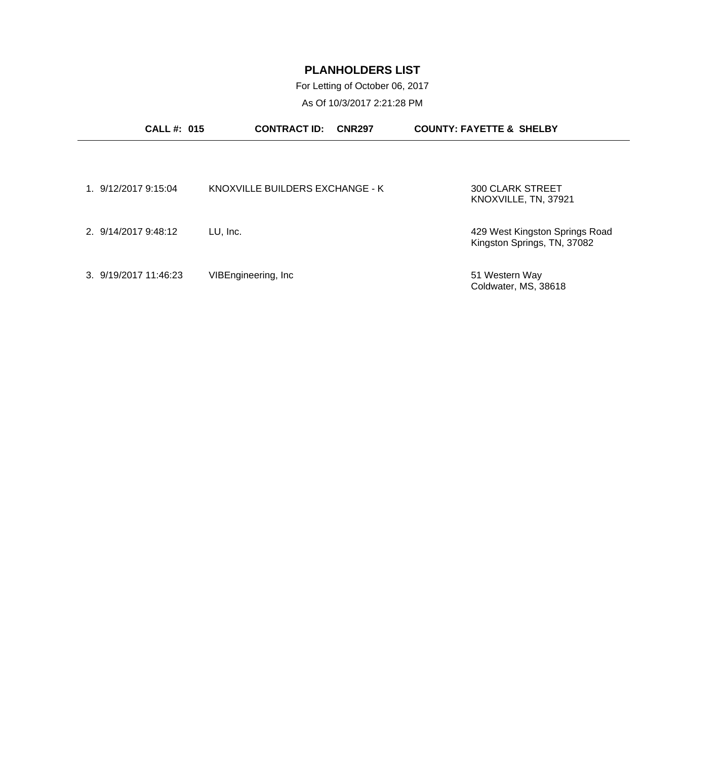For Letting of October 06, 2017

As Of 10/3/2017 2:21:28 PM

| <b>CALL#: 015</b>     | <b>CONTRACT ID:</b>             | <b>CNR297</b> | <b>COUNTY: FAYETTE &amp; SHELBY</b>                           |  |
|-----------------------|---------------------------------|---------------|---------------------------------------------------------------|--|
|                       |                                 |               |                                                               |  |
| 1. 9/12/2017 9:15:04  | KNOXVILLE BUILDERS EXCHANGE - K |               | 300 CLARK STREET<br>KNOXVILLE, TN, 37921                      |  |
| 2. 9/14/2017 9:48:12  | LU, Inc.                        |               | 429 West Kingston Springs Road<br>Kingston Springs, TN, 37082 |  |
| 3. 9/19/2017 11:46:23 | VIBEngineering, Inc.            |               | 51 Western Way<br>Coldwater, MS, 38618                        |  |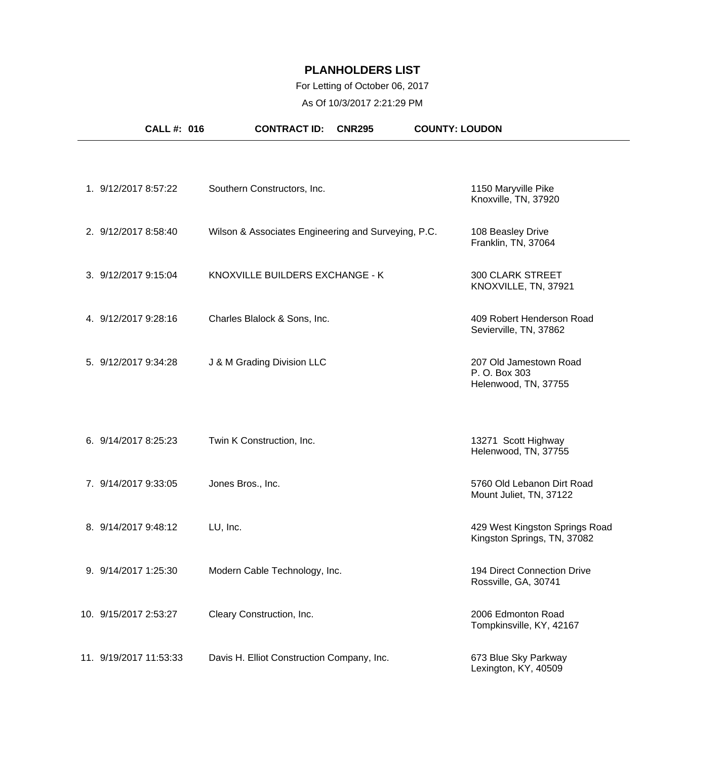### For Letting of October 06, 2017

As Of 10/3/2017 2:21:29 PM

| <b>CALL #: 016</b>     | <b>CONTRACT ID:</b><br><b>CNR295</b>                | <b>COUNTY: LOUDON</b>                                            |
|------------------------|-----------------------------------------------------|------------------------------------------------------------------|
| 1. 9/12/2017 8:57:22   | Southern Constructors, Inc.                         | 1150 Maryville Pike                                              |
| 2. 9/12/2017 8:58:40   | Wilson & Associates Engineering and Surveying, P.C. | Knoxville, TN, 37920<br>108 Beasley Drive<br>Franklin, TN, 37064 |
| 3. 9/12/2017 9:15:04   | KNOXVILLE BUILDERS EXCHANGE - K                     | <b>300 CLARK STREET</b><br>KNOXVILLE, TN, 37921                  |
| 4. 9/12/2017 9:28:16   | Charles Blalock & Sons, Inc.                        | 409 Robert Henderson Road<br>Sevierville, TN, 37862              |
| 5. 9/12/2017 9:34:28   | J & M Grading Division LLC                          | 207 Old Jamestown Road<br>P. O. Box 303<br>Helenwood, TN, 37755  |
| 6. 9/14/2017 8:25:23   | Twin K Construction, Inc.                           | 13271 Scott Highway<br>Helenwood, TN, 37755                      |
| 7. 9/14/2017 9:33:05   | Jones Bros., Inc.                                   | 5760 Old Lebanon Dirt Road<br>Mount Juliet, TN, 37122            |
| 8. 9/14/2017 9:48:12   | LU, Inc.                                            | 429 West Kingston Springs Road<br>Kingston Springs, TN, 37082    |
| 9. 9/14/2017 1:25:30   | Modern Cable Technology, Inc.                       | 194 Direct Connection Drive<br>Rossville, GA, 30741              |
| 10. 9/15/2017 2:53:27  | Cleary Construction, Inc.                           | 2006 Edmonton Road<br>Tompkinsville, KY, 42167                   |
| 11. 9/19/2017 11:53:33 | Davis H. Elliot Construction Company, Inc.          | 673 Blue Sky Parkway<br>Lexington, KY, 40509                     |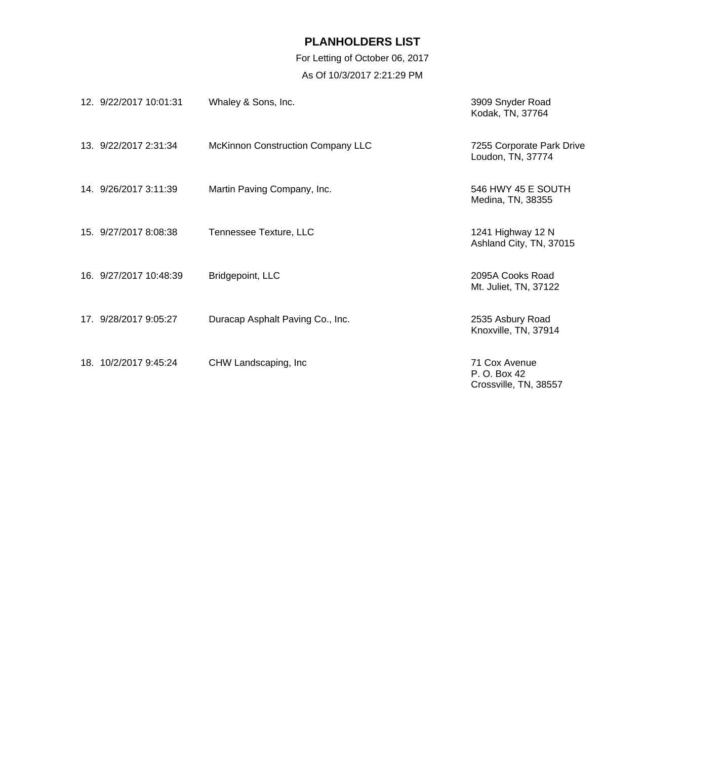For Letting of October 06, 2017 As Of 10/3/2017 2:21:29 PM

| 12. 9/22/2017 10:01:31 | Whaley & Sons, Inc.                      | 3909 Snyder Road<br>Kodak, TN, 37764                   |
|------------------------|------------------------------------------|--------------------------------------------------------|
| 13. 9/22/2017 2:31:34  | <b>McKinnon Construction Company LLC</b> | 7255 Corporate Park Drive<br>Loudon, TN, 37774         |
| 14. 9/26/2017 3:11:39  | Martin Paving Company, Inc.              | 546 HWY 45 E SOUTH<br>Medina, TN, 38355                |
| 15. 9/27/2017 8:08:38  | Tennessee Texture, LLC                   | 1241 Highway 12 N<br>Ashland City, TN, 37015           |
| 16. 9/27/2017 10:48:39 | Bridgepoint, LLC                         | 2095A Cooks Road<br>Mt. Juliet, TN, 37122              |
| 17. 9/28/2017 9:05:27  | Duracap Asphalt Paving Co., Inc.         | 2535 Asbury Road<br>Knoxville, TN, 37914               |
| 18. 10/2/2017 9:45:24  | CHW Landscaping, Inc.                    | 71 Cox Avenue<br>P. O. Box 42<br>Crossville, TN, 38557 |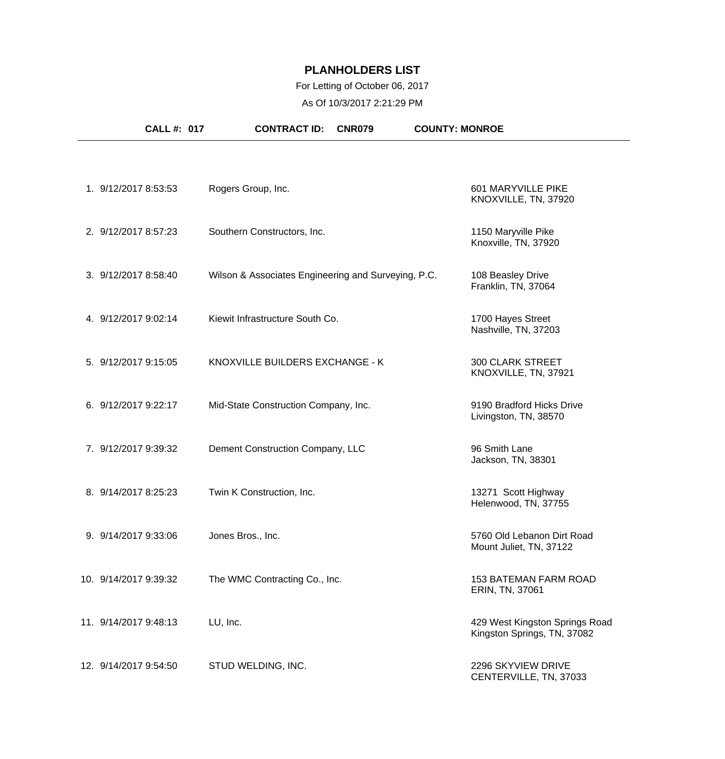### For Letting of October 06, 2017

As Of 10/3/2017 2:21:29 PM

| <b>CALL #: 017</b>    | <b>CONTRACT ID:</b><br><b>CNR079</b>                | <b>COUNTY: MONROE</b>                                         |
|-----------------------|-----------------------------------------------------|---------------------------------------------------------------|
|                       |                                                     |                                                               |
| 1. 9/12/2017 8:53:53  | Rogers Group, Inc.                                  | 601 MARYVILLE PIKE<br>KNOXVILLE, TN, 37920                    |
| 2. 9/12/2017 8:57:23  | Southern Constructors, Inc.                         | 1150 Maryville Pike<br>Knoxville, TN, 37920                   |
| 3. 9/12/2017 8:58:40  | Wilson & Associates Engineering and Surveying, P.C. | 108 Beasley Drive<br>Franklin, TN, 37064                      |
| 4. 9/12/2017 9:02:14  | Kiewit Infrastructure South Co.                     | 1700 Hayes Street<br>Nashville, TN, 37203                     |
| 5. 9/12/2017 9:15:05  | KNOXVILLE BUILDERS EXCHANGE - K                     | <b>300 CLARK STREET</b><br>KNOXVILLE, TN, 37921               |
| 6. 9/12/2017 9:22:17  | Mid-State Construction Company, Inc.                | 9190 Bradford Hicks Drive<br>Livingston, TN, 38570            |
| 7. 9/12/2017 9:39:32  | Dement Construction Company, LLC                    | 96 Smith Lane<br>Jackson, TN, 38301                           |
| 8. 9/14/2017 8:25:23  | Twin K Construction, Inc.                           | 13271 Scott Highway<br>Helenwood, TN, 37755                   |
| 9. 9/14/2017 9:33:06  | Jones Bros., Inc.                                   | 5760 Old Lebanon Dirt Road<br>Mount Juliet, TN, 37122         |
| 10. 9/14/2017 9:39:32 | The WMC Contracting Co., Inc.                       | <b>153 BATEMAN FARM ROAD</b><br>ERIN, TN, 37061               |
| 11. 9/14/2017 9:48:13 | LU, Inc.                                            | 429 West Kingston Springs Road<br>Kingston Springs, TN, 37082 |
| 12. 9/14/2017 9:54:50 | STUD WELDING, INC.                                  | 2296 SKYVIEW DRIVE<br>CENTERVILLE, TN, 37033                  |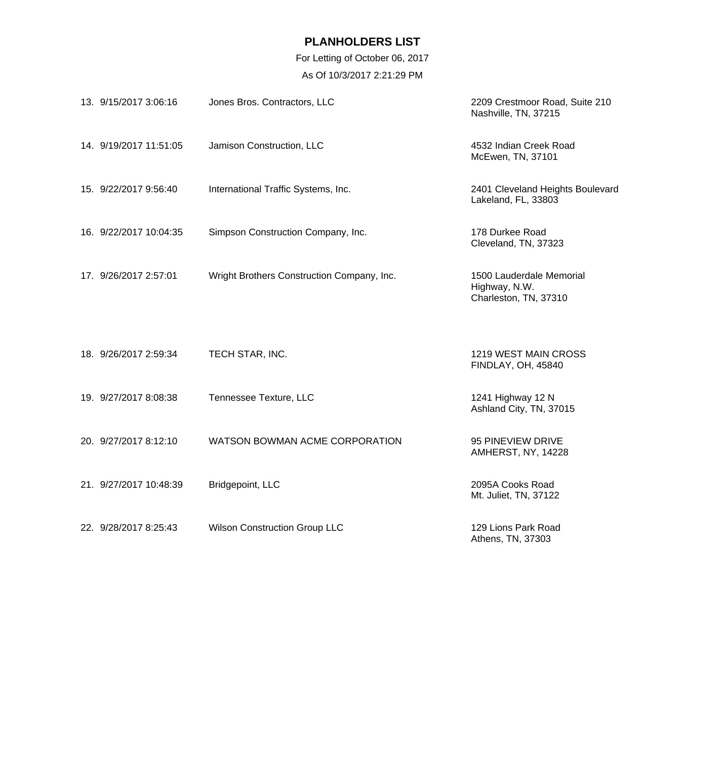For Letting of October 06, 2017 As Of 10/3/2017 2:21:29 PM

| 13. 9/15/2017 3:06:16  | Jones Bros. Contractors, LLC               | 2209 Crestmoor Road, Suite 210<br>Nashville, TN, 37215             |
|------------------------|--------------------------------------------|--------------------------------------------------------------------|
| 14. 9/19/2017 11:51:05 | Jamison Construction, LLC                  | 4532 Indian Creek Road<br>McEwen, TN, 37101                        |
| 15. 9/22/2017 9:56:40  | International Traffic Systems, Inc.        | 2401 Cleveland Heights Boulevard<br>Lakeland, FL, 33803            |
| 16. 9/22/2017 10:04:35 | Simpson Construction Company, Inc.         | 178 Durkee Road<br>Cleveland, TN, 37323                            |
| 17. 9/26/2017 2:57:01  | Wright Brothers Construction Company, Inc. | 1500 Lauderdale Memorial<br>Highway, N.W.<br>Charleston, TN, 37310 |
| 18. 9/26/2017 2:59:34  | TECH STAR, INC.                            | 1219 WEST MAIN CROSS<br>FINDLAY, OH, 45840                         |
| 19. 9/27/2017 8:08:38  | Tennessee Texture, LLC                     | 1241 Highway 12 N<br>Ashland City, TN, 37015                       |
| 20. 9/27/2017 8:12:10  | WATSON BOWMAN ACME CORPORATION             | 95 PINEVIEW DRIVE<br>AMHERST, NY, 14228                            |
| 21. 9/27/2017 10:48:39 | Bridgepoint, LLC                           | 2095A Cooks Road<br>Mt. Juliet, TN, 37122                          |
| 22. 9/28/2017 8:25:43  | <b>Wilson Construction Group LLC</b>       | 129 Lions Park Road<br>Athens, TN, 37303                           |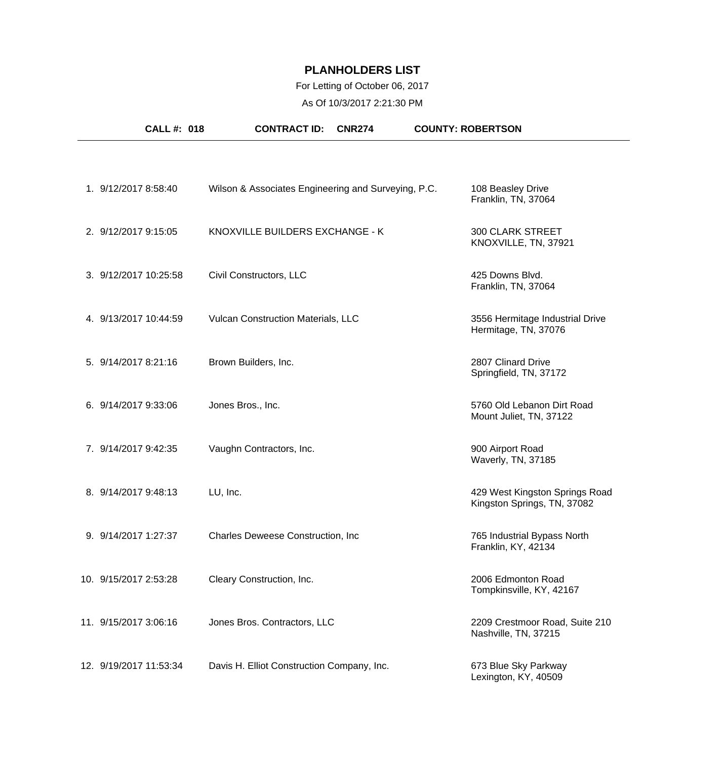### For Letting of October 06, 2017

As Of 10/3/2017 2:21:30 PM

| <b>CALL #: 018</b>     | <b>CONTRACT ID:</b><br><b>CNR274</b>                | <b>COUNTY: ROBERTSON</b>                                      |
|------------------------|-----------------------------------------------------|---------------------------------------------------------------|
|                        |                                                     |                                                               |
| 1. 9/12/2017 8:58:40   | Wilson & Associates Engineering and Surveying, P.C. | 108 Beasley Drive<br>Franklin, TN, 37064                      |
| 2. 9/12/2017 9:15:05   | KNOXVILLE BUILDERS EXCHANGE - K                     | <b>300 CLARK STREET</b><br>KNOXVILLE, TN, 37921               |
| 3. 9/12/2017 10:25:58  | Civil Constructors, LLC                             | 425 Downs Blvd.<br>Franklin, TN, 37064                        |
| 4. 9/13/2017 10:44:59  | Vulcan Construction Materials, LLC                  | 3556 Hermitage Industrial Drive<br>Hermitage, TN, 37076       |
| 5. 9/14/2017 8:21:16   | Brown Builders, Inc.                                | 2807 Clinard Drive<br>Springfield, TN, 37172                  |
| 6. 9/14/2017 9:33:06   | Jones Bros., Inc.                                   | 5760 Old Lebanon Dirt Road<br>Mount Juliet, TN, 37122         |
| 7. 9/14/2017 9:42:35   | Vaughn Contractors, Inc.                            | 900 Airport Road<br>Waverly, TN, 37185                        |
| 8. 9/14/2017 9:48:13   | LU, Inc.                                            | 429 West Kingston Springs Road<br>Kingston Springs, TN, 37082 |
| 9. 9/14/2017 1:27:37   | Charles Deweese Construction, Inc.                  | 765 Industrial Bypass North<br>Franklin, KY, 42134            |
| 10. 9/15/2017 2:53:28  | Cleary Construction, Inc.                           | 2006 Edmonton Road<br>Tompkinsville, KY, 42167                |
| 11. 9/15/2017 3:06:16  | Jones Bros. Contractors, LLC                        | 2209 Crestmoor Road, Suite 210<br>Nashville, TN, 37215        |
| 12. 9/19/2017 11:53:34 | Davis H. Elliot Construction Company, Inc.          | 673 Blue Sky Parkway<br>Lexington, KY, 40509                  |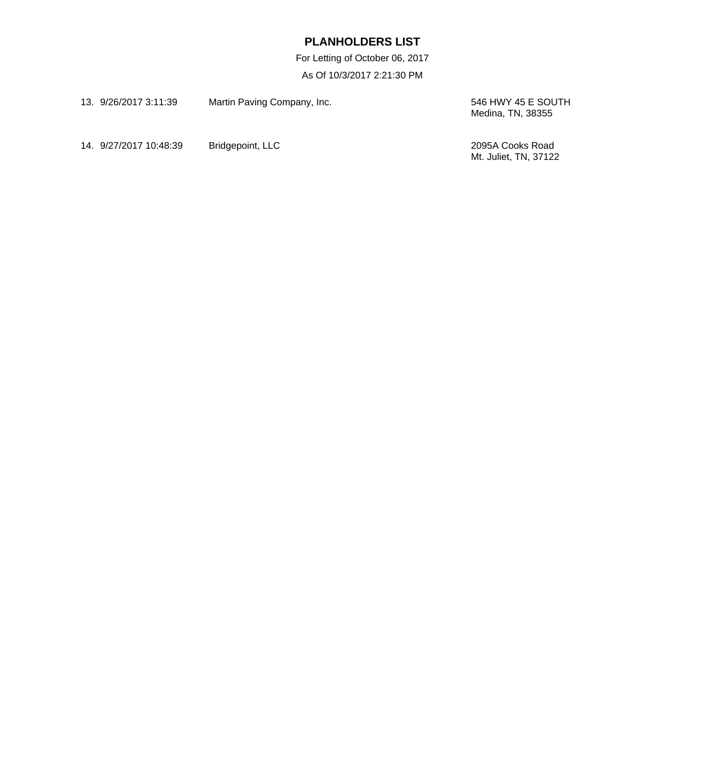For Letting of October 06, 2017 As Of 10/3/2017 2:21:30 PM

| 13. 9/26/2017 3:11:39  | Martin Paving Company, Inc. | 546 HWY 45 E SOUTH<br>Medina, TN, 38355   |
|------------------------|-----------------------------|-------------------------------------------|
| 14. 9/27/2017 10:48:39 | Bridgepoint, LLC            | 2095A Cooks Road<br>Mt. Juliet, TN, 37122 |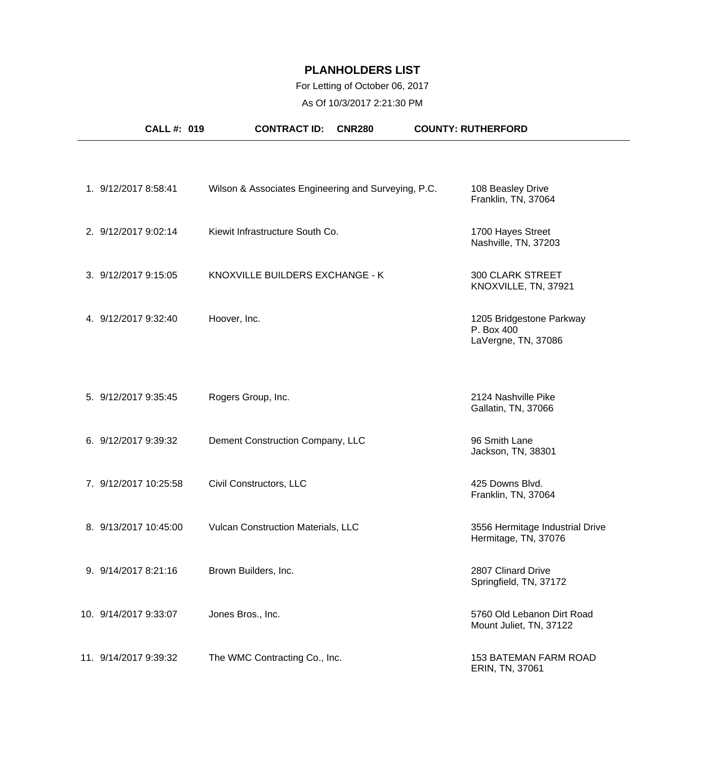### For Letting of October 06, 2017

As Of 10/3/2017 2:21:30 PM

| <b>CALL #: 019</b>    | <b>CONTRACT ID:</b><br><b>CNR280</b>                | <b>COUNTY: RUTHERFORD</b>                                     |
|-----------------------|-----------------------------------------------------|---------------------------------------------------------------|
|                       |                                                     |                                                               |
| 1. 9/12/2017 8:58:41  | Wilson & Associates Engineering and Surveying, P.C. | 108 Beasley Drive<br>Franklin, TN, 37064                      |
| 2. 9/12/2017 9:02:14  | Kiewit Infrastructure South Co.                     | 1700 Hayes Street<br>Nashville, TN, 37203                     |
| 3. 9/12/2017 9:15:05  | KNOXVILLE BUILDERS EXCHANGE - K                     | <b>300 CLARK STREET</b><br>KNOXVILLE, TN, 37921               |
| 4. 9/12/2017 9:32:40  | Hoover, Inc.                                        | 1205 Bridgestone Parkway<br>P. Box 400<br>LaVergne, TN, 37086 |
| 5. 9/12/2017 9:35:45  | Rogers Group, Inc.                                  | 2124 Nashville Pike<br>Gallatin, TN, 37066                    |
| 6. 9/12/2017 9:39:32  | Dement Construction Company, LLC                    | 96 Smith Lane<br>Jackson, TN, 38301                           |
| 7. 9/12/2017 10:25:58 | Civil Constructors, LLC                             | 425 Downs Blvd.<br>Franklin, TN, 37064                        |
| 8. 9/13/2017 10:45:00 | Vulcan Construction Materials, LLC                  | 3556 Hermitage Industrial Drive<br>Hermitage, TN, 37076       |
| 9. 9/14/2017 8:21:16  | Brown Builders, Inc.                                | 2807 Clinard Drive<br>Springfield, TN, 37172                  |
| 10. 9/14/2017 9:33:07 | Jones Bros., Inc.                                   | 5760 Old Lebanon Dirt Road<br>Mount Juliet, TN, 37122         |
| 11. 9/14/2017 9:39:32 | The WMC Contracting Co., Inc.                       | <b>153 BATEMAN FARM ROAD</b><br>ERIN, TN, 37061               |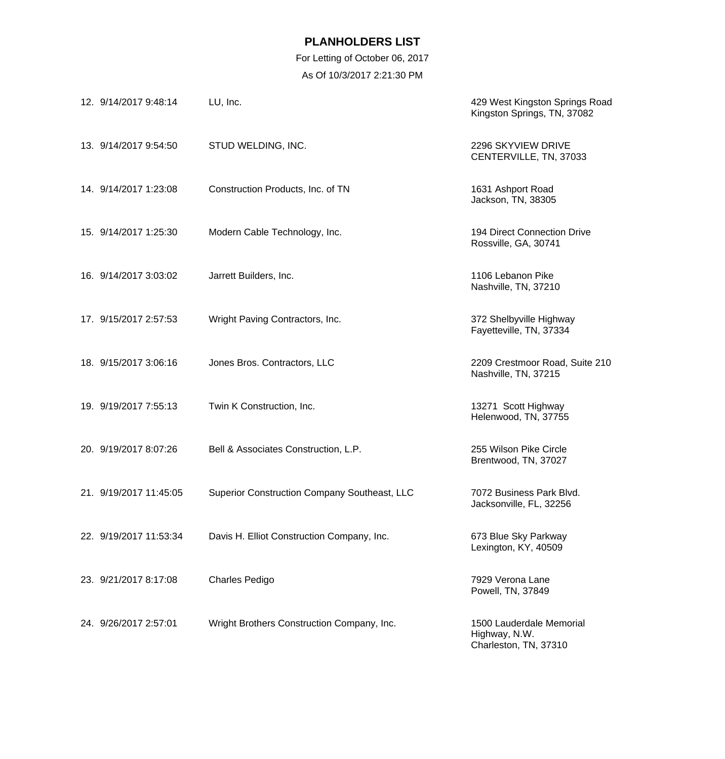For Letting of October 06, 2017 As Of 10/3/2017 2:21:30 PM

| 12. 9/14/2017 9:48:14  | LU, Inc.                                     | 429 West Kingston Springs Road<br>Kingston Springs, TN, 37082      |
|------------------------|----------------------------------------------|--------------------------------------------------------------------|
| 13. 9/14/2017 9:54:50  | STUD WELDING, INC.                           | 2296 SKYVIEW DRIVE<br>CENTERVILLE, TN, 37033                       |
| 14. 9/14/2017 1:23:08  | Construction Products, Inc. of TN            | 1631 Ashport Road<br>Jackson, TN, 38305                            |
| 15. 9/14/2017 1:25:30  | Modern Cable Technology, Inc.                | 194 Direct Connection Drive<br>Rossville, GA, 30741                |
| 16. 9/14/2017 3:03:02  | Jarrett Builders, Inc.                       | 1106 Lebanon Pike<br>Nashville, TN, 37210                          |
| 17. 9/15/2017 2:57:53  | Wright Paving Contractors, Inc.              | 372 Shelbyville Highway<br>Fayetteville, TN, 37334                 |
| 18. 9/15/2017 3:06:16  | Jones Bros. Contractors, LLC                 | 2209 Crestmoor Road, Suite 210<br>Nashville, TN, 37215             |
| 19. 9/19/2017 7:55:13  | Twin K Construction, Inc.                    | 13271 Scott Highway<br>Helenwood, TN, 37755                        |
| 20. 9/19/2017 8:07:26  | Bell & Associates Construction, L.P.         | 255 Wilson Pike Circle<br>Brentwood, TN, 37027                     |
| 21. 9/19/2017 11:45:05 | Superior Construction Company Southeast, LLC | 7072 Business Park Blvd.<br>Jacksonville, FL, 32256                |
| 22. 9/19/2017 11:53:34 | Davis H. Elliot Construction Company, Inc.   | 673 Blue Sky Parkway<br>Lexington, KY, 40509                       |
| 23. 9/21/2017 8:17:08  | <b>Charles Pedigo</b>                        | 7929 Verona Lane<br>Powell, TN, 37849                              |
| 24. 9/26/2017 2:57:01  | Wright Brothers Construction Company, Inc.   | 1500 Lauderdale Memorial<br>Highway, N.W.<br>Charleston, TN, 37310 |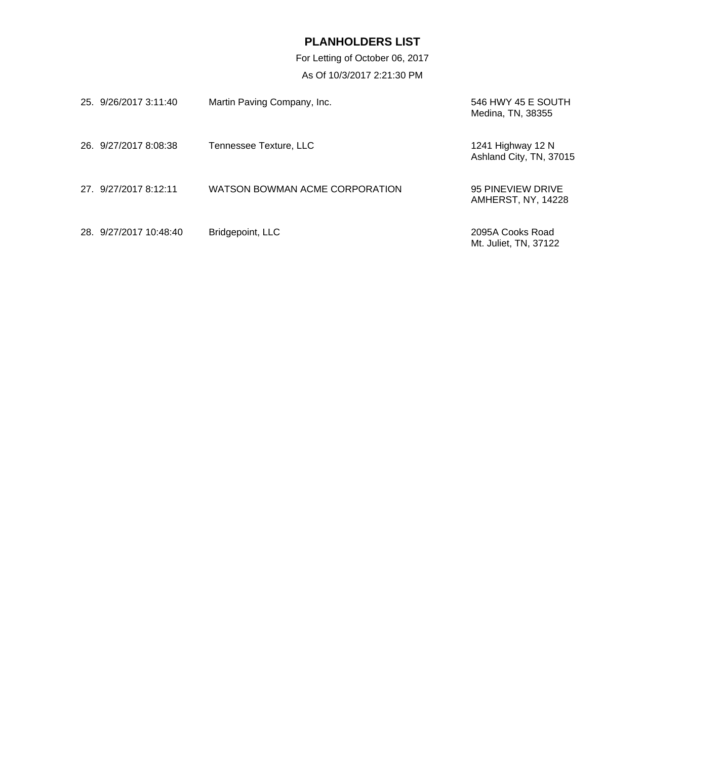For Letting of October 06, 2017 As Of 10/3/2017 2:21:30 PM

| 25. 9/26/2017 3:11:40  | Martin Paving Company, Inc.    | 546 HWY 45 E SOUTH<br>Medina, TN, 38355      |
|------------------------|--------------------------------|----------------------------------------------|
| 26. 9/27/2017 8:08:38  | Tennessee Texture, LLC         | 1241 Highway 12 N<br>Ashland City, TN, 37015 |
| 27. 9/27/2017 8:12:11  | WATSON BOWMAN ACME CORPORATION | 95 PINEVIEW DRIVE<br>AMHERST, NY, 14228      |
| 28. 9/27/2017 10:48:40 | Bridgepoint, LLC               | 2095A Cooks Road<br>Mt. Juliet, TN, 37122    |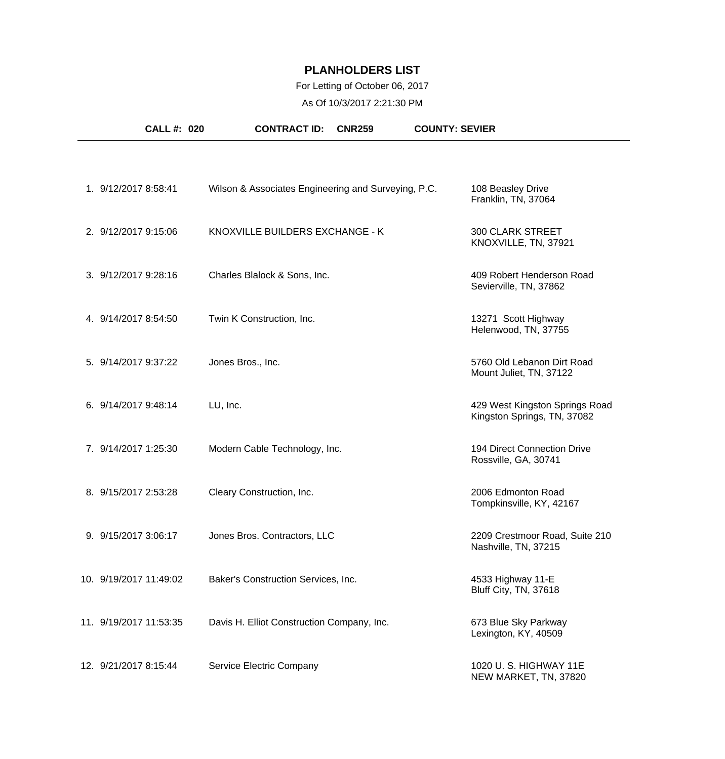### For Letting of October 06, 2017

As Of 10/3/2017 2:21:30 PM

| <b>CALL #: 020</b>     | <b>CONTRACT ID:</b><br><b>CNR259</b>                | <b>COUNTY: SEVIER</b>                                         |
|------------------------|-----------------------------------------------------|---------------------------------------------------------------|
|                        |                                                     |                                                               |
| 1. 9/12/2017 8:58:41   | Wilson & Associates Engineering and Surveying, P.C. | 108 Beasley Drive<br>Franklin, TN, 37064                      |
| 2. 9/12/2017 9:15:06   | KNOXVILLE BUILDERS EXCHANGE - K                     | <b>300 CLARK STREET</b><br>KNOXVILLE, TN, 37921               |
| 3. 9/12/2017 9:28:16   | Charles Blalock & Sons, Inc.                        | 409 Robert Henderson Road<br>Sevierville, TN, 37862           |
| 4. 9/14/2017 8:54:50   | Twin K Construction, Inc.                           | 13271 Scott Highway<br>Helenwood, TN, 37755                   |
| 5. 9/14/2017 9:37:22   | Jones Bros., Inc.                                   | 5760 Old Lebanon Dirt Road<br>Mount Juliet, TN, 37122         |
| 6. 9/14/2017 9:48:14   | LU, Inc.                                            | 429 West Kingston Springs Road<br>Kingston Springs, TN, 37082 |
| 7. 9/14/2017 1:25:30   | Modern Cable Technology, Inc.                       | 194 Direct Connection Drive<br>Rossville, GA, 30741           |
| 8. 9/15/2017 2:53:28   | Cleary Construction, Inc.                           | 2006 Edmonton Road<br>Tompkinsville, KY, 42167                |
| 9. 9/15/2017 3:06:17   | Jones Bros. Contractors, LLC                        | 2209 Crestmoor Road, Suite 210<br>Nashville, TN, 37215        |
| 10. 9/19/2017 11:49:02 | Baker's Construction Services, Inc.                 | 4533 Highway 11-E<br>Bluff City, TN, 37618                    |
| 11. 9/19/2017 11:53:35 | Davis H. Elliot Construction Company, Inc.          | 673 Blue Sky Parkway<br>Lexington, KY, 40509                  |
| 12. 9/21/2017 8:15:44  | Service Electric Company                            | 1020 U.S. HIGHWAY 11E<br>NEW MARKET, TN, 37820                |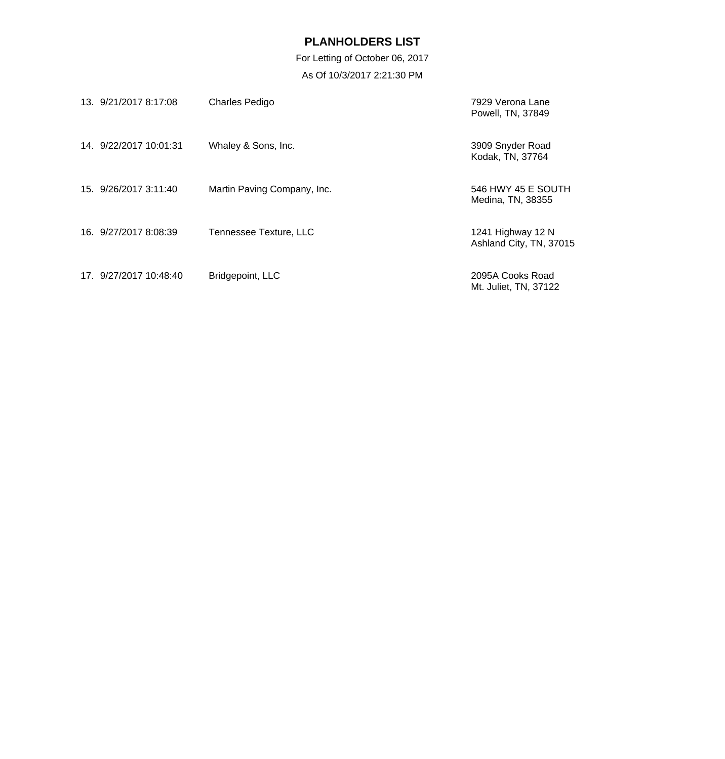For Letting of October 06, 2017 As Of 10/3/2017 2:21:30 PM

| 13. 9/21/2017 8:17:08  | <b>Charles Pedigo</b>       | 7929 Verona Lane<br>Powell, TN, 37849        |
|------------------------|-----------------------------|----------------------------------------------|
| 14. 9/22/2017 10:01:31 | Whaley & Sons, Inc.         | 3909 Snyder Road<br>Kodak, TN, 37764         |
| 15. 9/26/2017 3:11:40  | Martin Paving Company, Inc. | 546 HWY 45 E SOUTH<br>Medina, TN, 38355      |
| 16. 9/27/2017 8:08:39  | Tennessee Texture, LLC      | 1241 Highway 12 N<br>Ashland City, TN, 37015 |
| 17. 9/27/2017 10:48:40 | Bridgepoint, LLC            | 2095A Cooks Road<br>Mt. Juliet, TN, 37122    |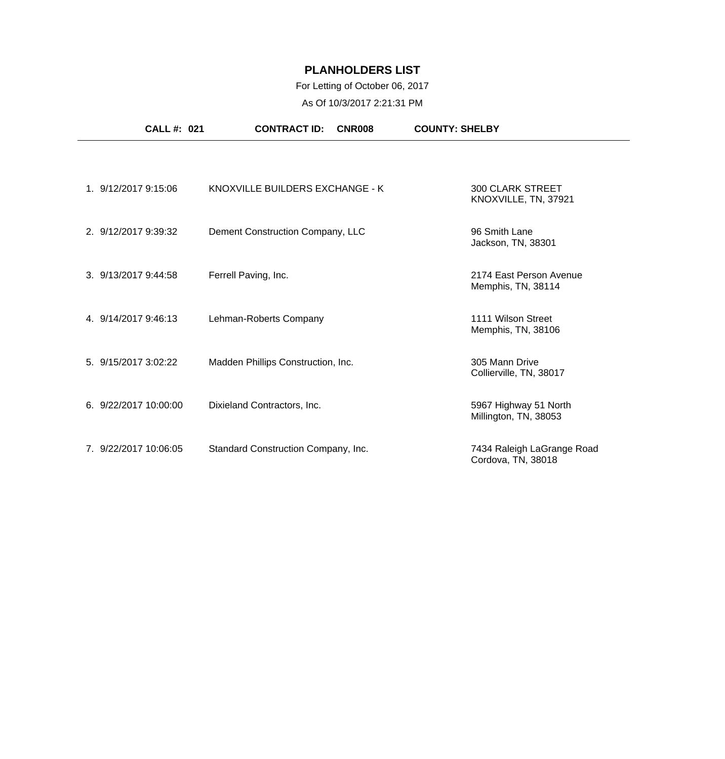### For Letting of October 06, 2017

As Of 10/3/2017 2:21:31 PM

| <b>CALL #: 021</b>    | <b>CONTRACT ID:</b>                 | CNR008 | <b>COUNTY: SHELBY</b>                            |  |
|-----------------------|-------------------------------------|--------|--------------------------------------------------|--|
|                       |                                     |        |                                                  |  |
| 1. 9/12/2017 9:15:06  | KNOXVILLE BUILDERS EXCHANGE - K     |        | <b>300 CLARK STREET</b><br>KNOXVILLE, TN, 37921  |  |
| 2. 9/12/2017 9:39:32  | Dement Construction Company, LLC    |        | 96 Smith Lane<br>Jackson, TN, 38301              |  |
| 3. 9/13/2017 9:44:58  | Ferrell Paving, Inc.                |        | 2174 East Person Avenue<br>Memphis, TN, 38114    |  |
| 4. 9/14/2017 9:46:13  | Lehman-Roberts Company              |        | 1111 Wilson Street<br>Memphis, TN, 38106         |  |
| 5. 9/15/2017 3:02:22  | Madden Phillips Construction, Inc.  |        | 305 Mann Drive<br>Collierville, TN, 38017        |  |
| 6. 9/22/2017 10:00:00 | Dixieland Contractors, Inc.         |        | 5967 Highway 51 North<br>Millington, TN, 38053   |  |
| 7. 9/22/2017 10:06:05 | Standard Construction Company, Inc. |        | 7434 Raleigh LaGrange Road<br>Cordova, TN, 38018 |  |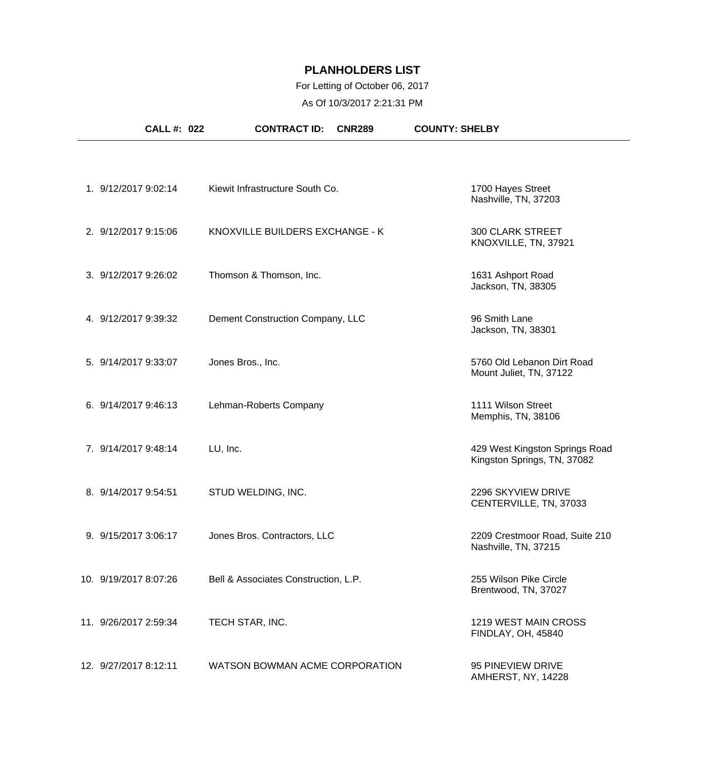### For Letting of October 06, 2017

As Of 10/3/2017 2:21:31 PM

| <b>CALL #: 022</b>    | <b>CONTRACT ID:</b><br><b>CNR289</b> | <b>COUNTY: SHELBY</b>                                         |
|-----------------------|--------------------------------------|---------------------------------------------------------------|
|                       |                                      |                                                               |
| 1. 9/12/2017 9:02:14  | Kiewit Infrastructure South Co.      | 1700 Hayes Street<br>Nashville, TN, 37203                     |
| 2. 9/12/2017 9:15:06  | KNOXVILLE BUILDERS EXCHANGE - K      | <b>300 CLARK STREET</b><br>KNOXVILLE, TN, 37921               |
| 3. 9/12/2017 9:26:02  | Thomson & Thomson, Inc.              | 1631 Ashport Road<br>Jackson, TN, 38305                       |
| 4. 9/12/2017 9:39:32  | Dement Construction Company, LLC     | 96 Smith Lane<br>Jackson, TN, 38301                           |
| 5. 9/14/2017 9:33:07  | Jones Bros., Inc.                    | 5760 Old Lebanon Dirt Road<br>Mount Juliet, TN, 37122         |
| 6. 9/14/2017 9:46:13  | Lehman-Roberts Company               | 1111 Wilson Street<br>Memphis, TN, 38106                      |
| 7. 9/14/2017 9:48:14  | LU, Inc.                             | 429 West Kingston Springs Road<br>Kingston Springs, TN, 37082 |
| 8. 9/14/2017 9:54:51  | STUD WELDING, INC.                   | 2296 SKYVIEW DRIVE<br>CENTERVILLE, TN, 37033                  |
| 9. 9/15/2017 3:06:17  | Jones Bros. Contractors, LLC         | 2209 Crestmoor Road, Suite 210<br>Nashville, TN, 37215        |
| 10. 9/19/2017 8:07:26 | Bell & Associates Construction, L.P. | 255 Wilson Pike Circle<br>Brentwood, TN, 37027                |
| 11. 9/26/2017 2:59:34 | TECH STAR, INC.                      | 1219 WEST MAIN CROSS<br>FINDLAY, OH, 45840                    |
| 12. 9/27/2017 8:12:11 | WATSON BOWMAN ACME CORPORATION       | 95 PINEVIEW DRIVE<br>AMHERST, NY, 14228                       |